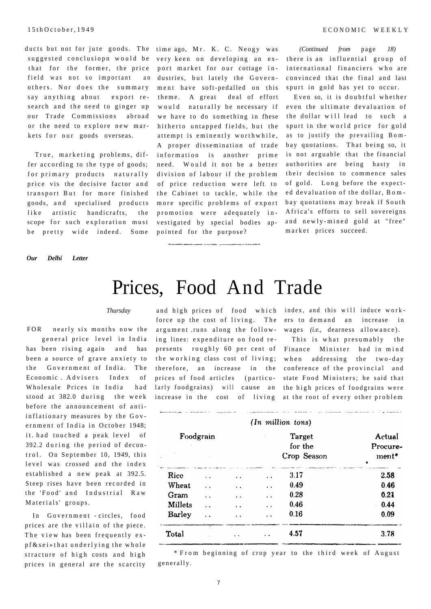ducts but not for jute goods. The time ago, Mr. K. C. Neogy was suggested conclusiopn would be that for the former, the price field was not so important an others. Nor does the summary say anything about export research and the need to ginger up our Trade Commissions abroad or the need to explore new markets for our goods overseas.

True, marketing problems, differ according to the type of goods; for primary products naturally price vis the decisive factor and transport But for more finished goods, and specialised products like artistic handicrafts, the scope for such exploration must be pretty wide indeed. Some

*Our Delhi Letter* 

very keen on developing an export market for our cottage industries, but lately the Government have soft-pedalled on this theme. A great deal of effort would naturally be necessary if we have to do something in fhese hitherto untapped fields, but the attempt is eminently worthwhile, A proper dissemination of trade information is another prime need. Would it not be a better division of labour if the problem of price reduction were left to the Cabinet to tackle, while the more specific problems of export promotion were adequately investigated by special bodies appointed for the purpose?

*(Continued from* page *18)*  there is an influential group of international financiers who are convinced that the final and last spurt in gold has yet to occur.

Even so, it is doubtful whether even the ultimate devaluation of the dollar will lead to such a spurt in the world price for gold as to justify the prevailing Bombay quotations. That being so, it is not arguable that the financial authorities are being hasty in their decision to commence sales of gold. Long before the expected devaluation of the dollar, Bombay quotations may break if South Africa's efforts to sell sovereigns and newly-mined gold at "free" market prices succeed.

## Prices, Food And Trade

## *Thursday*

FOR nearly six months now the general price level in India has been rising again and has been a source of grave anxiety to the Government of India. The Economic Advisers Index of Wholesale Prices in India had stood at 382.0 during the week before the announcement of antiinflationary measures by the Government of India in October 1948; it .had touched a peak level of  $392.2$  during the period of decontrol. On September 10, 1949, this level was crossed and the index established a new peak at 392.5. Steep rises have been recorded in the 'Food' and Industrial Raw Materials' groups.

In Government - circles, food prices are the villain of the piece. The view has been frequently expf & sei »that underlying the whole stracture of high costs and high prices in general are the scarcity

force up the cost of living. The argument .runs along the following lines: expenditure on food represents roughly 60 per cent of Finance Minister had in mind the working class cost of living; therefore, an increase in the prices of food articles (particularly foodgrains) will cause an the high prices of foodgrains were

and high prices of food which index, and this will induce workers to demand an increase in wages (i.e., dearness allowance).

increase in the cost of living at the root of every other problem This is what presumably the when addressing the two-day conference of the provincial and state Food Ministers; he said that

| Foodgrain      |                      |                      | Target<br>for the    |             | Actual<br>Procure- |
|----------------|----------------------|----------------------|----------------------|-------------|--------------------|
|                |                      |                      |                      | Crop Season | $ment*$            |
| Rice           |                      | . .                  | $\ddot{\phantom{1}}$ | 3.17        | 2.58               |
| Wheat          |                      | . .                  | $\ddot{\phantom{1}}$ | 0.49        | 0.46               |
| Gram           | $\ddot{\phantom{a}}$ | $\ddot{\phantom{a}}$ | $\cdot$ .            | 0.28        | 0.21               |
| <b>Millets</b> |                      | . .                  | $\cdot$ $\cdot$      | 0.46        | 0.44               |
| <b>Barley</b>  |                      | $\cdot$ .            | $\ddot{\phantom{1}}$ | 0.16        | 0.09               |
| Total          |                      |                      |                      | 4.57        | 3.78               |

\* From beginning of crop year to the third week of August generally .